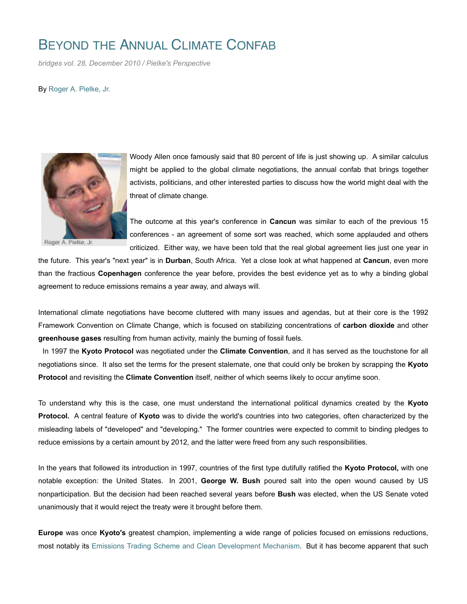## BEYOND THE ANNUAL CLIMATE CONFAB

*bridges vol. 28, December 2010 / Pielke's Perspective*

By Roger A. Pielke, Jr.



Roger A. Pielke, Jr.

Woody Allen once famously said that 80 percent of life is just showing up. A similar calculus might be applied to the global climate negotiations, the annual confab that brings together activists, politicians, and other interested parties to discuss how the world might deal with the threat of climate change.

The outcome at this year's conference in **Cancun** was similar to each of the previous 15 conferences - an agreement of some sort was reached, which some applauded and others criticized. Either way, we have been told that the real global agreement lies just one year in

the future. This year's "next year" is in **Durban**, South Africa. Yet a close look at what happened at **Cancun**, even more than the fractious **Copenhagen** conference the year before, provides the best evidence yet as to why a binding global agreement to reduce emissions remains a year away, and always will.

International climate negotiations have become cluttered with many issues and agendas, but at their core is the 1992 Framework Convention on Climate Change, which is focused on stabilizing concentrations of **carbon dioxide** and other **greenhouse gases** resulting from human activity, mainly the burning of fossil fuels.

 In 1997 the **Kyoto Protocol** was negotiated under the **Climate Convention**, and it has served as the touchstone for all negotiations since. It also set the terms for the present stalemate, one that could only be broken by scrapping the **Kyoto Protocol** and revisiting the **Climate Convention** itself, neither of which seems likely to occur anytime soon.

To understand why this is the case, one must understand the international political dynamics created by the **Kyoto Protocol.** A central feature of **Kyoto** was to divide the world's countries into two categories, often characterized by the misleading labels of "developed" and "developing." The former countries were expected to commit to binding pledges to reduce emissions by a certain amount by 2012, and the latter were freed from any such responsibilities.

In the years that followed its introduction in 1997, countries of the first type dutifully ratified the **Kyoto Protocol,** with one notable exception: the United States. In 2001, **George W. Bush** poured salt into the open wound caused by US nonparticipation. But the decision had been reached several years before **Bush** was elected, when the US Senate voted unanimously that it would reject the treaty were it brought before them.

**Europe** was once **Kyoto's** greatest champion, implementing a wide range of policies focused on emissions reductions, most notably its Emissions Trading Scheme and Clean Development Mechanism. But it has become apparent that such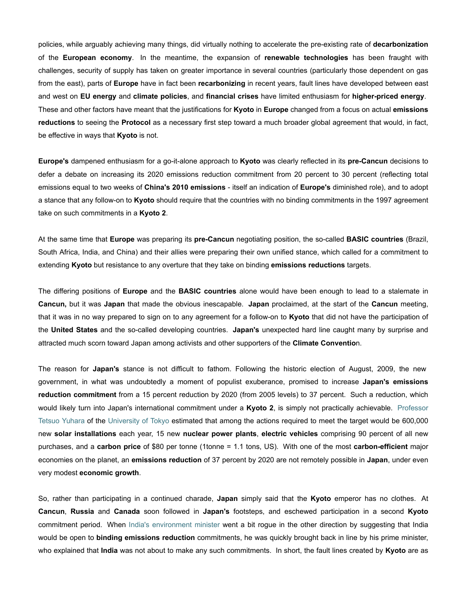policies, while arguably achieving many things, did virtually nothing to accelerate the pre-existing rate of **decarbonization** of the **European economy**. In the meantime, the expansion of **renewable technologies** has been fraught with challenges, security of supply has taken on greater importance in several countries (particularly those dependent on gas from the east), parts of **Europe** have in fact been **recarbonizing** in recent years, fault lines have developed between east and west on **EU energy** and **climate policies**, and **financial crises** have limited enthusiasm for **higher-priced energy**. These and other factors have meant that the justifications for **Kyoto** in **Europe** changed from a focus on actual **emissions reductions** to seeing the **Protocol** as a necessary first step toward a much broader global agreement that would, in fact, be effective in ways that **Kyoto** is not.

**Europe's** dampened enthusiasm for a go-it-alone approach to **Kyoto** was clearly reflected in its **pre-Cancun** decisions to defer a debate on increasing its 2020 emissions reduction commitment from 20 percent to 30 percent (reflecting total emissions equal to two weeks of **China's 2010 emissions** - itself an indication of **Europe's** diminished role), and to adopt a stance that any follow-on to **Kyoto** should require that the countries with no binding commitments in the 1997 agreement take on such commitments in a **Kyoto 2**.

At the same time that **Europe** was preparing its **pre-Cancun** negotiating position, the so-called **BASIC countries** (Brazil, South Africa, India, and China) and their allies were preparing their own unified stance, which called for a commitment to extending **Kyoto** but resistance to any overture that they take on binding **emissions reductions** targets.

The differing positions of **Europe** and the **BASIC countries** alone would have been enough to lead to a stalemate in **Cancun,** but it was **Japan** that made the obvious inescapable. **Japan** proclaimed, at the start of the **Cancun** meeting, that it was in no way prepared to sign on to any agreement for a follow-on to **Kyoto** that did not have the participation of the **United States** and the so-called developing countries. **Japan's** unexpected hard line caught many by surprise and attracted much scorn toward Japan among activists and other supporters of the **Climate Conventio**n.

The reason for **Japan's** stance is not difficult to fathom. Following the historic election of August, 2009, the new government, in what was undoubtedly a moment of populist exuberance, promised to increase **Japan's emissions reduction commitment** from a 15 percent reduction by 2020 (from 2005 levels) to 37 percent. Such a reduction, which would likely turn into Japan's international commitment under a **Kyoto 2**, is simply not practically achievable. Professor Tetsuo Yuhara of the University of Tokyo estimated that among the actions required to meet the target would be 600,000 new **solar installations** each year, 15 new **nuclear power plants**, **electric vehicles** comprising 90 percent of all new purchases, and a **carbon price** of \$80 per tonne (1tonne = 1.1 tons, US). With one of the most **carbon-efficient** major economies on the planet, an **emissions reduction** of 37 percent by 2020 are not remotely possible in **Japan**, under even very modest **economic growth**.

So, rather than participating in a continued charade, **Japan** simply said that the **Kyoto** emperor has no clothes. At **Cancun**, **Russia** and **Canada** soon followed in **Japan's** footsteps, and eschewed participation in a second **Kyoto** commitment period. When India's environment minister went a bit rogue in the other direction by suggesting that India would be open to **binding emissions reduction** commitments, he was quickly brought back in line by his prime minister, who explained that **India** was not about to make any such commitments. In short, the fault lines created by **Kyoto** are as